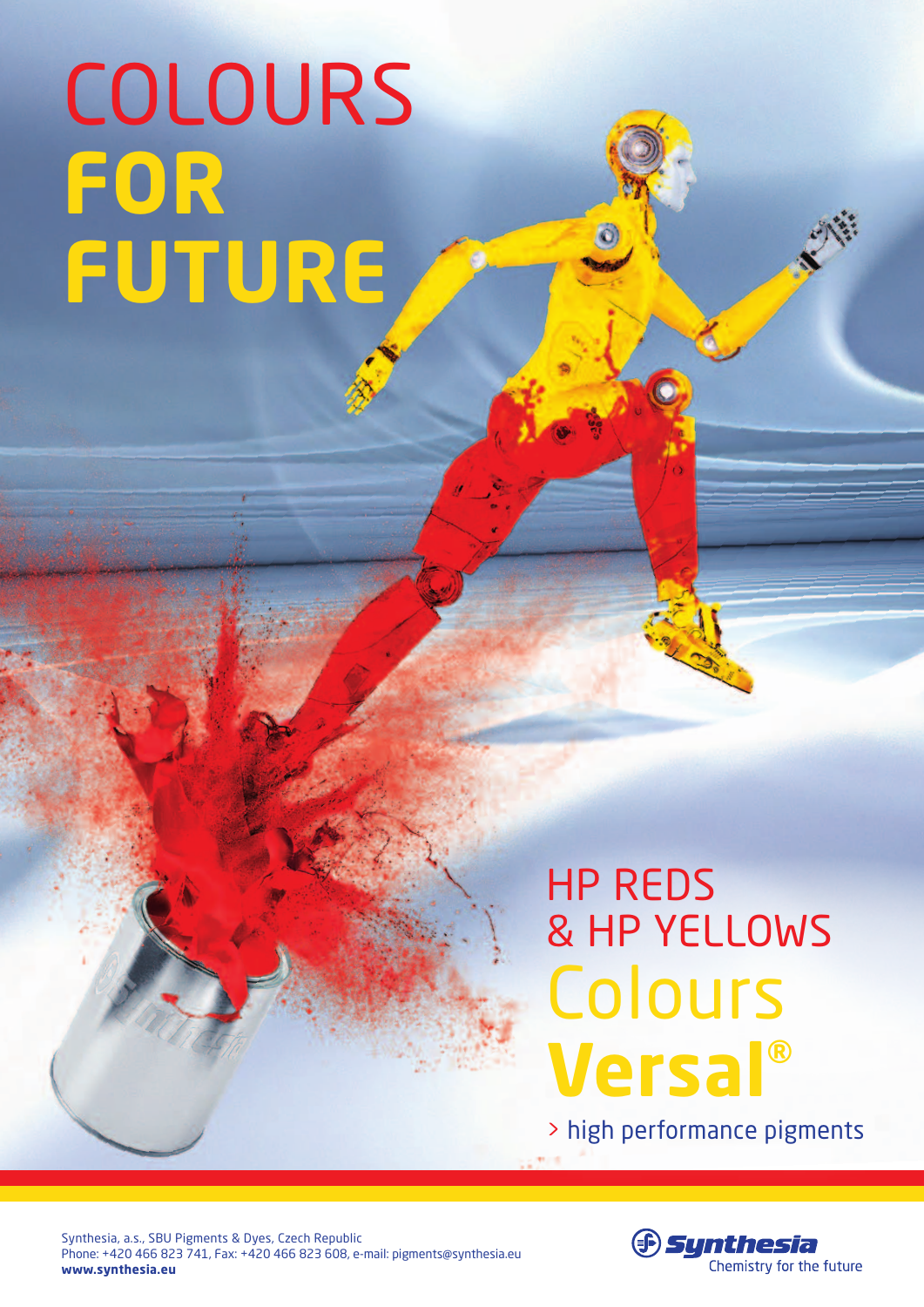## colours **for future**

## Colours **Versal®** HP reds & HP yellows

> high performance pigments